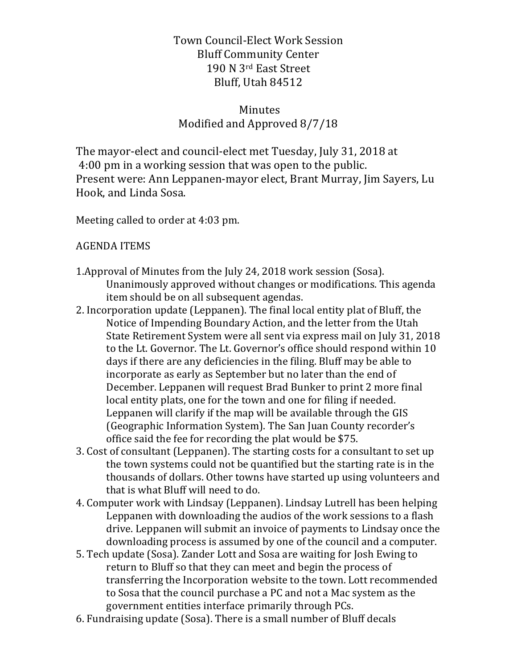Town Council+Elect Work Session Bluff Community Center 190 N 3rd East Street Bluff, Utah 84512

## Minutes Modified and Approved 8/7/18

The mayor-elect and council-elect met Tuesday, July 31, 2018 at 4:00 pm in a working session that was open to the public. Present were: Ann Leppanen+mayor elect, Brant Murray, Jim Sayers, Lu Hook, and Linda Sosa.

Meeting called to order at 4:03 pm.

## **AGENDA ITEMS**

- 1. Approval of Minutes from the July 24, 2018 work session (Sosa). Unanimously approved without changes or modifications. This agenda item should be on all subsequent agendas.
- 2. Incorporation update (Leppanen). The final local entity plat of Bluff, the Notice of Impending Boundary Action, and the letter from the Utah State Retirement System were all sent via express mail on July 31, 2018 to the Lt. Governor. The Lt. Governor's office should respond within 10 days if there are any deficiencies in the filing. Bluff may be able to incorporate as early as September but no later than the end of December. Leppanen will request Brad Bunker to print 2 more final local entity plats, one for the town and one for filing if needed. Leppanen will clarify if the map will be available through the GIS (Geographic Information System). The San Juan County recorder's office said the fee for recording the plat would be \$75.
- 3. Cost of consultant (Leppanen). The starting costs for a consultant to set up the town systems could not be quantified but the starting rate is in the thousands of dollars. Other towns have started up using volunteers and that is what Bluff will need to do.
- 4. Computer work with Lindsay (Leppanen). Lindsay Lutrell has been helping Leppanen with downloading the audios of the work sessions to a flash drive. Leppanen will submit an invoice of payments to Lindsay once the downloading process is assumed by one of the council and a computer.
- 5. Tech update (Sosa). Zander Lott and Sosa are waiting for Josh Ewing to return to Bluff so that they can meet and begin the process of transferring the Incorporation website to the town. Lott recommended to Sosa that the council purchase a PC and not a Mac system as the government entities interface primarily through PCs.
- 6. Fundraising update (Sosa). There is a small number of Bluff decals